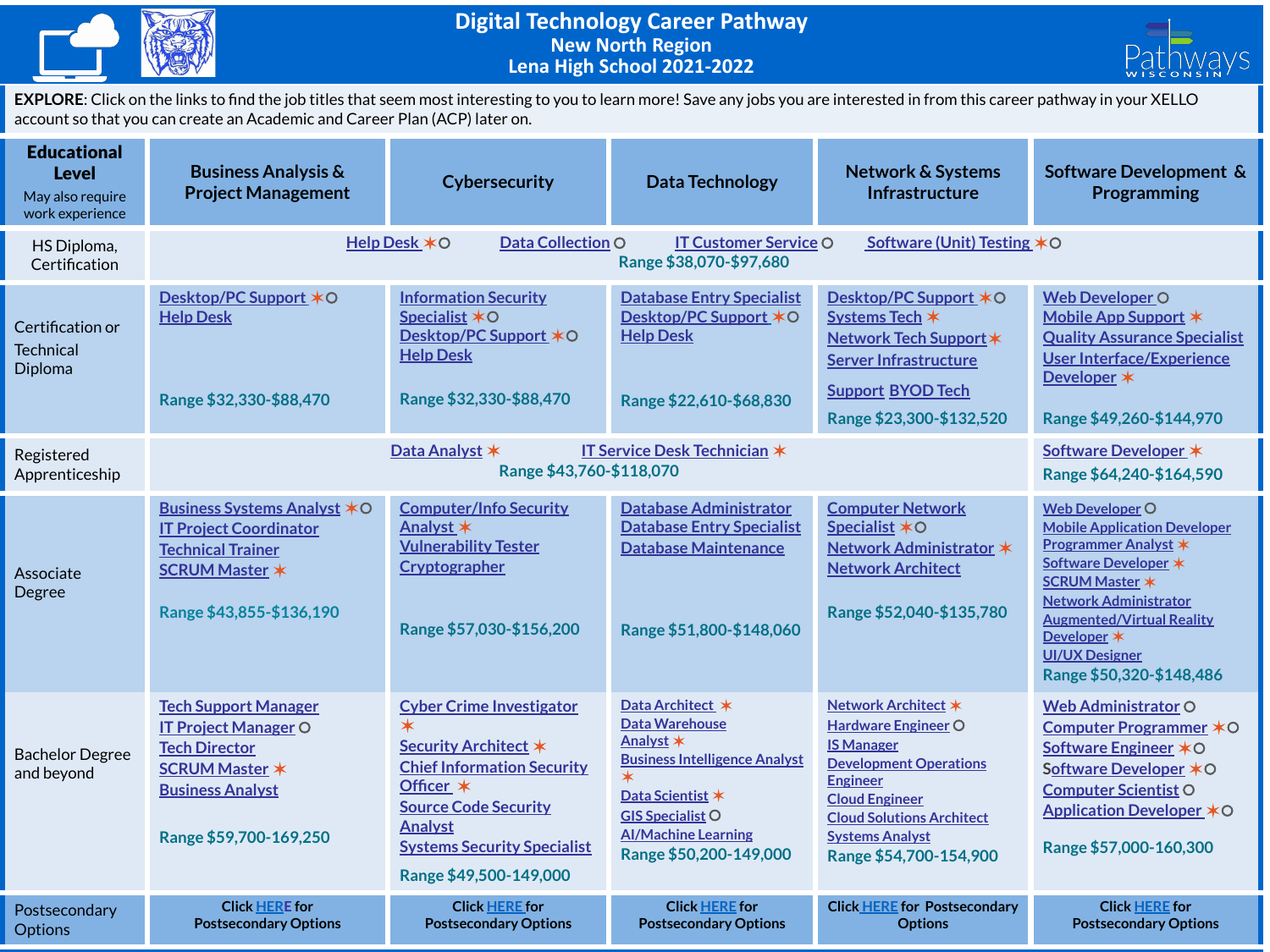



**EXPLORE**: Click on the links to find the job titles that seem most interesting to you to learn more! Save any jobs you are interested in from this career pathway in your XELLO account so that you can create an Academic and Career Plan (ACP) later on.

| <b>Educational</b><br><b>Level</b><br>May also require<br>work experience | <b>Business Analysis &amp;</b><br><b>Project Management</b>                                                                                                      | Cybersecurity                                                                                                                                                                                                                           | <b>Data Technology</b>                                                                                                                                                                                | <b>Network &amp; Systems</b><br><b>Infrastructure</b>                                                                                                                                                                                | Software Development &<br>Programming                                                                                                                                                                                                                                          |  |  |
|---------------------------------------------------------------------------|------------------------------------------------------------------------------------------------------------------------------------------------------------------|-----------------------------------------------------------------------------------------------------------------------------------------------------------------------------------------------------------------------------------------|-------------------------------------------------------------------------------------------------------------------------------------------------------------------------------------------------------|--------------------------------------------------------------------------------------------------------------------------------------------------------------------------------------------------------------------------------------|--------------------------------------------------------------------------------------------------------------------------------------------------------------------------------------------------------------------------------------------------------------------------------|--|--|
| HS Diploma,<br>Certification                                              | Data Collection O<br>Software (Unit) Testing *O<br>Help Desk *O<br><b>IT Customer Service O</b><br>Range \$38,070-\$97,680                                       |                                                                                                                                                                                                                                         |                                                                                                                                                                                                       |                                                                                                                                                                                                                                      |                                                                                                                                                                                                                                                                                |  |  |
| Certification or<br><b>Technical</b><br>Diploma                           | <b>Desktop/PC Support ∗O</b><br><b>Help Desk</b><br>Range \$32,330-\$88,470                                                                                      | <b>Information Security</b><br>Specialist *O<br>Desktop/PC Support *O<br><b>Help Desk</b><br>Range \$32,330-\$88,470                                                                                                                    | <b>Database Entry Specialist</b><br>Desktop/PC Support *O<br><b>Help Desk</b><br>Range \$22,610-\$68,830                                                                                              | Desktop/PC Support $*$ O<br>Systems Tech *<br>Network Tech Support *<br><b>Server Infrastructure</b><br><b>Support BYOD Tech</b><br>Range \$23,300-\$132,520                                                                         | <b>Web Developer O</b><br>Mobile App Support *<br><b>Quality Assurance Specialist</b><br><b>User Interface/Experience</b><br>Developer *<br>Range \$49,260-\$144,970                                                                                                           |  |  |
| Registered<br>Apprenticeship                                              | Data Analyst *                                                                                                                                                   | Software Developer *<br>Range \$64,240-\$164,590                                                                                                                                                                                        |                                                                                                                                                                                                       |                                                                                                                                                                                                                                      |                                                                                                                                                                                                                                                                                |  |  |
| Associate<br>Degree                                                       | <b>Business Systems Analyst *O</b><br><b>IT Project Coordinator</b><br><b>Technical Trainer</b><br><b>SCRUM Master *</b><br>Range \$43,855-\$136,190             | <b>Computer/Info Security</b><br>Analyst *<br><b>Vulnerability Tester</b><br>Cryptographer<br>Range \$57,030-\$156,200                                                                                                                  | <b>Database Administrator</b><br><b>Database Entry Specialist</b><br><b>Database Maintenance</b><br>Range \$51,800-\$148,060                                                                          | <b>Computer Network</b><br>Specialist *O<br>Network Administrator *<br><b>Network Architect</b><br>Range \$52,040-\$135,780                                                                                                          | <b>Web Developer O</b><br><b>Mobile Application Developer</b><br>Programmer Analyst *<br>Software Developer *<br><b>SCRUM Master *</b><br><b>Network Administrator</b><br><b>Augmented/Virtual Reality</b><br>Developer *<br><b>UI/UX Designer</b><br>Range \$50,320-\$148,486 |  |  |
| <b>Bachelor Degree</b><br>and beyond                                      | <b>Tech Support Manager</b><br><b>IT Project Manager O</b><br><b>Tech Director</b><br><b>SCRUM Master *</b><br><b>Business Analyst</b><br>Range \$59,700-169,250 | <b>Cyber Crime Investigator</b><br>$\star$<br>Security Architect *<br><b>Chief Information Security</b><br>Officer $*$<br><b>Source Code Security</b><br><b>Analyst</b><br><b>Systems Security Specialist</b><br>Range \$49,500-149,000 | Data Architect *<br><b>Data Warehouse</b><br>Analyst *<br><b>Business Intelligence Analyst</b><br>Data Scientist *<br><b>GIS Specialist O</b><br><b>Al/Machine Learning</b><br>Range \$50,200-149,000 | Network Architect *<br>Hardware Engineer O<br><b>IS Manager</b><br><b>Development Operations</b><br><b>Engineer</b><br><b>Cloud Engineer</b><br><b>Cloud Solutions Architect</b><br><b>Systems Analyst</b><br>Range \$54,700-154,900 | Web Administrator O<br>Computer Programmer *O<br>Software Engineer *○<br>Software Developer *O<br><b>Computer Scientist O</b><br>Application Developer *O<br>Range \$57,000-160,300                                                                                            |  |  |
| Postsecondary<br><b>Options</b>                                           | <b>Click HERE for</b><br><b>Postsecondary Options</b>                                                                                                            | <b>Click HERE for</b><br><b>Postsecondary Options</b>                                                                                                                                                                                   | <b>Click HERE for</b><br><b>Postsecondary Options</b>                                                                                                                                                 | <b>Click HERE for Postsecondary</b><br><b>Options</b>                                                                                                                                                                                | <b>Click HERE for</b><br><b>Postsecondary Options</b>                                                                                                                                                                                                                          |  |  |